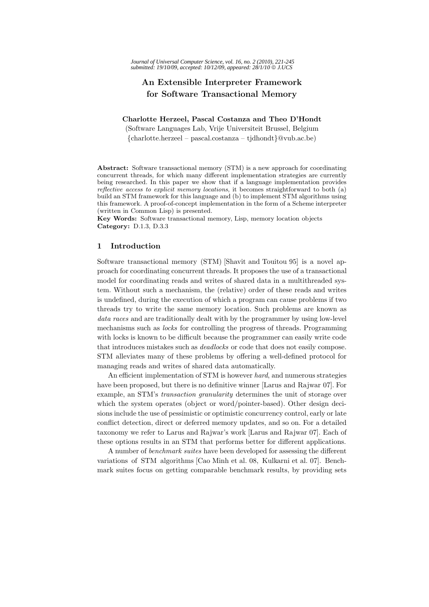# **An Extensible Interpreter Framework for Software Transactional Memory**

### **Charlotte Herzeel, Pascal Costanza and Theo D'Hondt**

(Software Languages Lab, Vrije Universiteit Brussel, Belgium {charlotte.herzeel – pascal.costanza – tjdhondt}@vub.ac.be)

**Abstract:** Software transactional memory (STM) is a new approach for coordinating concurrent threads, for which many different implementation strategies are currently being researched. In this paper we show that if a language implementation provides *reflective access to explicit memory locations*, it becomes straightforward to both (a) build an STM framework for this language and (b) to implement STM algorithms using this framework. A proof-of-concept implementation in the form of a Scheme interpreter (written in Common Lisp) is presented.

**Key Words:** Software transactional memory, Lisp, memory location objects **Category:** D.1.3, D.3.3

# **1 Introduction**

Software transactional memory (STM) [Shavit and Touitou 95] is a novel approach for coordinating concurrent threads. It proposes the use of a transactional model for coordinating reads and writes of shared data in a multithreaded system. Without such a mechanism, the (relative) order of these reads and writes is undefined, during the execution of which a program can cause problems if two threads try to write the same memory location. Such problems are known as *data races* and are traditionally dealt with by the programmer by using low-level mechanisms such as *locks* for controlling the progress of threads. Programming with locks is known to be difficult because the programmer can easily write code that introduces mistakes such as *deadlocks* or code that does not easily compose. STM alleviates many of these problems by offering a well-defined protocol for managing reads and writes of shared data automatically.

An efficient implementation of STM is however *hard*, and numerous strategies have been proposed, but there is no definitive winner [Larus and Rajwar 07]. For example, an STM's *transaction granularity* determines the unit of storage over which the system operates (object or word/pointer-based). Other design decisions include the use of pessimistic or optimistic concurrency control, early or late conflict detection, direct or deferred memory updates, and so on. For a detailed taxonomy we refer to Larus and Rajwar's work [Larus and Rajwar 07]. Each of these options results in an STM that performs better for different applications.

A number of *benchmark suites* have been developed for assessing the different variations of STM algorithms [Cao Minh et al. 08, Kulkarni et al. 07]. Benchmark suites focus on getting comparable benchmark results, by providing sets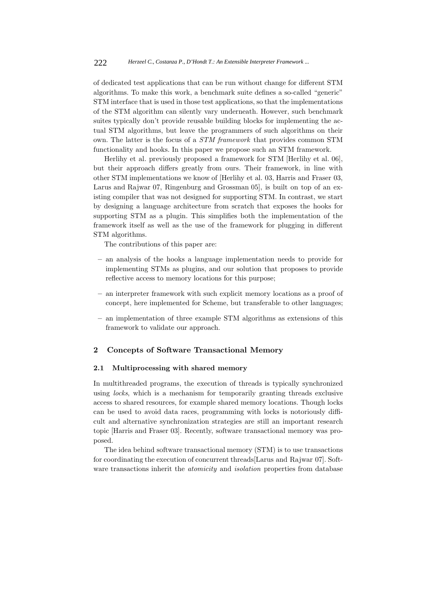of dedicated test applications that can be run without change for different STM algorithms. To make this work, a benchmark suite defines a so-called "generic" STM interface that is used in those test applications, so that the implementations of the STM algorithm can silently vary underneath. However, such benchmark suites typically don't provide reusable building blocks for implementing the actual STM algorithms, but leave the programmers of such algorithms on their own. The latter is the focus of a *STM framework* that provides common STM functionality and hooks. In this paper we propose such an STM framework.

Herlihy et al. previously proposed a framework for STM [Herlihy et al. 06], but their approach differs greatly from ours. Their framework, in line with other STM implementations we know of [Herlihy et al. 03, Harris and Fraser 03, Larus and Rajwar 07, Ringenburg and Grossman 05], is built on top of an existing compiler that was not designed for supporting STM. In contrast, we start by designing a language architecture from scratch that exposes the hooks for supporting STM as a plugin. This simplifies both the implementation of the framework itself as well as the use of the framework for plugging in different STM algorithms.

The contributions of this paper are:

- **–** an analysis of the hooks a language implementation needs to provide for implementing STMs as plugins, and our solution that proposes to provide reflective access to memory locations for this purpose;
- **–** an interpreter framework with such explicit memory locations as a proof of concept, here implemented for Scheme, but transferable to other languages;
- **–** an implementation of three example STM algorithms as extensions of this framework to validate our approach.

# **2 Concepts of Software Transactional Memory**

# **2.1 Multiprocessing with shared memory**

In multithreaded programs, the execution of threads is typically synchronized using *locks*, which is a mechanism for temporarily granting threads exclusive access to shared resources, for example shared memory locations. Though locks can be used to avoid data races, programming with locks is notoriously difficult and alternative synchronization strategies are still an important research topic [Harris and Fraser 03]. Recently, software transactional memory was proposed.

The idea behind software transactional memory (STM) is to use transactions for coordinating the execution of concurrent threads[Larus and Rajwar 07]. Software transactions inherit the *atomicity* and *isolation* properties from database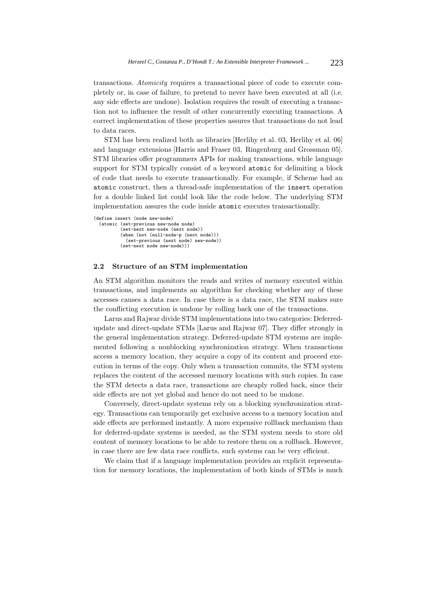transactions. *Atomicity* requires a transactional piece of code to execute completely or, in case of failure, to pretend to never have been executed at all (i.e. any side effects are undone). Isolation requires the result of executing a transaction not to influence the result of other concurrently executing transactions. A correct implementation of these properties assures that transactions do not lead to data races.

STM has been realized both as libraries [Herlihy et al. 03, Herlihy et al. 06] and language extensions [Harris and Fraser 03, Ringenburg and Grossman 05]. STM libraries offer programmers APIs for making transactions, while language support for STM typically consist of a keyword atomic for delimiting a block of code that needs to execute transactionally. For example, if Scheme had an atomic construct, then a thread-safe implementation of the insert operation for a double linked list could look like the code below. The underlying STM implementation assures the code inside atomic executes transactionally.

```
(define insert (node new-node)
  (atomic (set-previous new-node node)
          (set-next new-node (next node))
          (when (not (null-node-p (next node)))
            (set-previous (next node) new-node))
          (set-next node new-node)))
```
#### **2.2 Structure of an STM implementation**

An STM algorithm monitors the reads and writes of memory executed within transactions, and implements an algorithm for checking whether any of these accesses causes a data race. In case there is a data race, the STM makes sure the conflicting execution is undone by rolling back one of the transactions.

Larus and Rajwar divide STM implementations into two categories: Deferredupdate and direct-update STMs [Larus and Rajwar 07]. They differ strongly in the general implementation strategy. Deferred-update STM systems are implemented following a nonblocking synchronization strategy. When transactions access a memory location, they acquire a copy of its content and proceed execution in terms of the copy. Only when a transaction commits, the STM system replaces the content of the accessed memory locations with such copies. In case the STM detects a data race, transactions are cheaply rolled back, since their side effects are not yet global and hence do not need to be undone.

Conversely, direct-update systems rely on a blocking synchronization strategy. Transactions can temporarily get exclusive access to a memory location and side effects are performed instantly. A more expensive rollback mechanism than for deferred-update systems is needed, as the STM system needs to store old content of memory locations to be able to restore them on a rollback. However, in case there are few data race conflicts, such systems can be very efficient.

We claim that if a language implementation provides an explicit representation for memory locations, the implementation of both kinds of STMs is much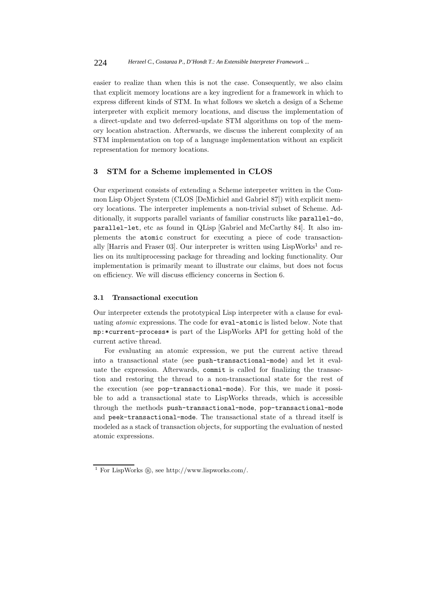easier to realize than when this is not the case. Consequently, we also claim that explicit memory locations are a key ingredient for a framework in which to express different kinds of STM. In what follows we sketch a design of a Scheme interpreter with explicit memory locations, and discuss the implementation of a direct-update and two deferred-update STM algorithms on top of the memory location abstraction. Afterwards, we discuss the inherent complexity of an STM implementation on top of a language implementation without an explicit representation for memory locations.

# **3 STM for a Scheme implemented in CLOS**

Our experiment consists of extending a Scheme interpreter written in the Common Lisp Object System (CLOS [DeMichiel and Gabriel 87]) with explicit memory locations. The interpreter implements a non-trivial subset of Scheme. Additionally, it supports parallel variants of familiar constructs like parallel-do, parallel-let, etc as found in QLisp [Gabriel and McCarthy 84]. It also implements the atomic construct for executing a piece of code transactionally [Harris and Fraser 03]. Our interpreter is written using  $LispWorks<sup>1</sup>$  and relies on its multiprocessing package for threading and locking functionality. Our implementation is primarily meant to illustrate our claims, but does not focus on efficiency. We will discuss efficiency concerns in Section 6.

# **3.1 Transactional execution**

Our interpreter extends the prototypical Lisp interpreter with a clause for evaluating *atomic* expressions. The code for eval-atomic is listed below. Note that mp:\*current-process\* is part of the LispWorks API for getting hold of the current active thread.

For evaluating an atomic expression, we put the current active thread into a transactional state (see push-transactional-mode) and let it evaluate the expression. Afterwards, commit is called for finalizing the transaction and restoring the thread to a non-transactional state for the rest of the execution (see pop-transactional-mode). For this, we made it possible to add a transactional state to LispWorks threads, which is accessible through the methods push-transactional-mode, pop-transactional-mode and peek-transactional-mode. The transactional state of a thread itself is modeled as a stack of transaction objects, for supporting the evaluation of nested atomic expressions.

 $^1$  For LispWorks  $\circledR,$  see http://www.lispworks.com/.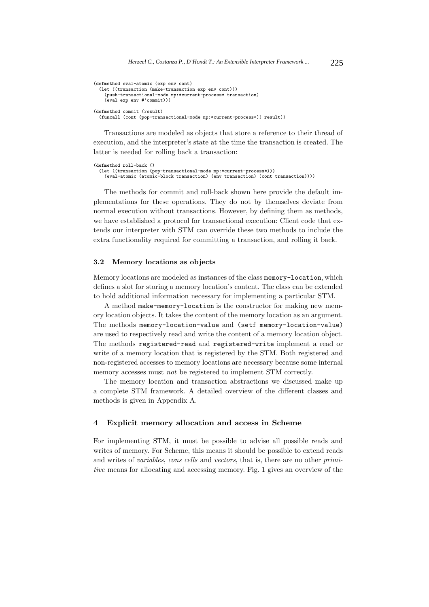```
(defmethod eval-atomic (exp env cont)
  (let ((transaction (make-transaction exp env cont)))
    (push-transactional-mode mp:*current-process* transaction)
    (eval exp env #'commit)))
(defmethod commit (result)
  (funcall (cont (pop-transactional-mode mp:*current-process*)) result))
```
Transactions are modeled as objects that store a reference to their thread of execution, and the interpreter's state at the time the transaction is created. The latter is needed for rolling back a transaction:

```
(defmethod roll-back ()
  (let ((transaction (pop-transactional-mode mp:*current-process*)))
   (eval-atomic (atomic-block transaction) (env transaction) (cont transaction))))
```
The methods for commit and roll-back shown here provide the default implementations for these operations. They do not by themselves deviate from normal execution without transactions. However, by defining them as methods, we have established a protocol for transactional execution: Client code that extends our interpreter with STM can override these two methods to include the extra functionality required for committing a transaction, and rolling it back.

#### **3.2 Memory locations as objects**

Memory locations are modeled as instances of the class memory-location, which defines a slot for storing a memory location's content. The class can be extended to hold additional information necessary for implementing a particular STM.

A method make-memory-location is the constructor for making new memory location objects. It takes the content of the memory location as an argument. The methods memory-location-value and (setf memory-location-value) are used to respectively read and write the content of a memory location object. The methods registered-read and registered-write implement a read or write of a memory location that is registered by the STM. Both registered and non-registered accesses to memory locations are necessary because some internal memory accesses must *not* be registered to implement STM correctly.

The memory location and transaction abstractions we discussed make up a complete STM framework. A detailed overview of the different classes and methods is given in Appendix A.

# **4 Explicit memory allocation and access in Scheme**

For implementing STM, it must be possible to advise all possible reads and writes of memory. For Scheme, this means it should be possible to extend reads and writes of *variables*, *cons cells* and *vectors*, that is, there are no other *primitive* means for allocating and accessing memory. Fig. 1 gives an overview of the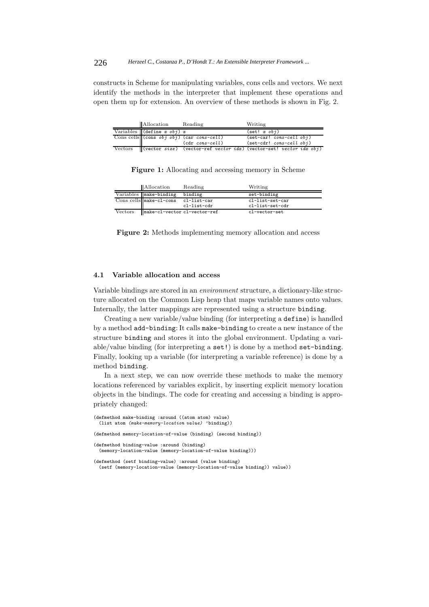constructs in Scheme for manipulating variables, cons cells and vectors. We next identify the methods in the interpreter that implement these operations and open them up for extension. An overview of these methods is shown in Fig. 2.

| Allocation                       | Reading                                     | Writing                                                                    |
|----------------------------------|---------------------------------------------|----------------------------------------------------------------------------|
| Variables (define x $obj(x)$ ) x |                                             | $(\texttt{set!} \; x \; obj)$                                              |
|                                  | Cons cells (cons $obj$ obj) (car cons-cell) | $(set-car! cons-cell obj)$                                                 |
|                                  | $(cdr \text{ cons-cell})$                   | $(set-cdr! const-cell obj)$                                                |
|                                  |                                             | Vectors (vector size) (vector-ref vector idx) (vector-set! vector idx obj) |

|         | <b>Allocation</b>            | Reading     | Writing         |
|---------|------------------------------|-------------|-----------------|
|         | Variables   make-binding     | binding     | set-binding     |
|         | Cons cells make-c1-cons      | cl-list-car | cl-list-set-car |
|         |                              | cl-list-cdr | cl-list-set-cdr |
| Vectors | make-cl-vector cl-vector-ref |             | cl-vector-set   |

**Figure 1:** Allocating and accessing memory in Scheme

**Figure 2:** Methods implementing memory allocation and access

# **4.1 Variable allocation and access**

Variable bindings are stored in an *environment* structure, a dictionary-like structure allocated on the Common Lisp heap that maps variable names onto values. Internally, the latter mappings are represented using a structure binding.

Creating a new variable/value binding (for interpreting a define) is handled by a method add-binding: It calls make-binding to create a new instance of the structure binding and stores it into the global environment. Updating a variable/value binding (for interpreting a set!) is done by a method set-binding. Finally, looking up a variable (for interpreting a variable reference) is done by a method binding.

In a next step, we can now override these methods to make the memory locations referenced by variables explicit, by inserting explicit memory location objects in the bindings. The code for creating and accessing a binding is appropriately changed:

```
(defmethod make-binding :around ((atom atom) value)
 (list atom (make-memory-location value) 'binding))
(defmethod memory-location-of-value (binding) (second binding))
(defmethod binding-value :around (binding)
  (memory-location-value (memory-location-of-value binding)))
(defmethod (setf binding-value) :around (value binding)
  (setf (memory-location-value (memory-location-of-value binding)) value))
```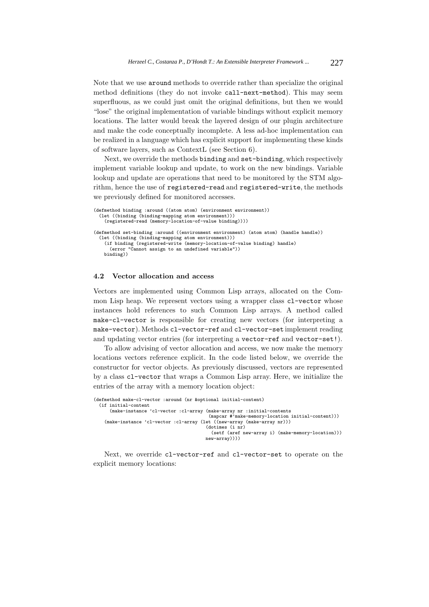Note that we use around methods to override rather than specialize the original method definitions (they do not invoke call-next-method). This may seem superfluous, as we could just omit the original definitions, but then we would "lose" the original implementation of variable bindings without explicit memory locations. The latter would break the layered design of our plugin architecture and make the code conceptually incomplete. A less ad-hoc implementation can be realized in a language which has explicit support for implementing these kinds of software layers, such as ContextL (see Section 6).

Next, we override the methods binding and set-binding, which respectively implement variable lookup and update, to work on the new bindings. Variable lookup and update are operations that need to be monitored by the STM algorithm, hence the use of registered-read and registered-write, the methods we previously defined for monitored accesses.

```
(defmethod binding :around ((atom atom) (environment environment))
  (let ((binding (binding-mapping atom environment)))
   (registered-read (memory-location-of-value binding))))
(defmethod set-binding :around ((environment environment) (atom atom) (handle handle))
  (let ((binding (binding-mapping atom environment)))
   (if binding (registered-write (memory-location-of-value binding) handle)
     (error "Cannot assign to an undefined variable"))
   binding))
```
#### **4.2 Vector allocation and access**

Vectors are implemented using Common Lisp arrays, allocated on the Common Lisp heap. We represent vectors using a wrapper class  $c1$ -vector whose instances hold references to such Common Lisp arrays. A method called make-cl-vector is responsible for creating new vectors (for interpreting a make-vector). Methods cl-vector-ref and cl-vector-set implement reading and updating vector entries (for interpreting a vector-ref and vector-set!).

To allow advising of vector allocation and access, we now make the memory locations vectors reference explicit. In the code listed below, we override the constructor for vector objects. As previously discussed, vectors are represented by a class cl-vector that wraps a Common Lisp array. Here, we initialize the entries of the array with a memory location object:

```
(defmethod make-cl-vector :around (nr &optional initial-content)
 (if initial-content
     (make-instance 'cl-vector :cl-array (make-array nr :initial-contents
                                           (mapcar #'make-memory-location initial-content)))
    (make-instance 'cl-vector :cl-array (let ((new-array (make-array nr)))
                                          (dotimes (i nr)
                                            (setf (aref new-array i) (make-memory-location)))
                                          new-array))))
```
Next, we override cl-vector-ref and cl-vector-set to operate on the explicit memory locations: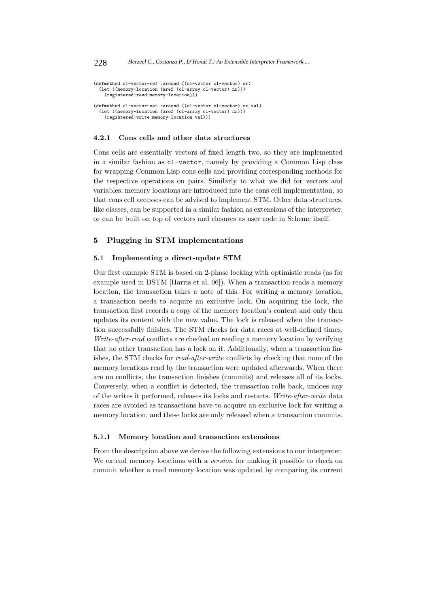```
(defmethod cl-vector-ref :around ((cl-vector cl-vector) nr)
  (let ((memory-location (aref (cl-array cl-vector) nr)))
    (registered-read memory-location)))
(defmethod cl-vector-set :around ((cl-vector cl-vector) nr val)
  (let ((memory-location (aref (cl-array cl-vector) nr)))
    (registered-write memory-location val)))
```
# **4.2.1 Cons cells and other data structures**

Cons cells are essentially vectors of fixed length two, so they are implemented in a similar fashion as cl-vector, namely by providing a Common Lisp class for wrapping Common Lisp cons cells and providing corresponding methods for the respective operations on pairs. Similarly to what we did for vectors and variables, memory locations are introduced into the cons cell implementation, so that cons cell accesses can be advised to implement STM. Other data structures, like classes, can be supported in a similar fashion as extensions of the interpreter, or can be built on top of vectors and closures as user code in Scheme itself.

# **5 Plugging in STM implementations**

# **5.1 Implementing a direct-update STM**

Our first example STM is based on 2-phase locking with optimistic reads (as for example used in BSTM [Harris et al. 06]). When a transaction reads a memory location, the transaction takes a note of this. For writing a memory location, a transaction needs to acquire an exclusive lock. On acquiring the lock, the transaction first records a copy of the memory location's content and only then updates its content with the new value. The lock is released when the transaction successfully finishes. The STM checks for data races at well-defined times. *Write-after-read* conflicts are checked on reading a memory location by verifying that no other transaction has a lock on it. Additionally, when a transaction finishes, the STM checks for *read-after-write* conflicts by checking that none of the memory locations read by the transaction were updated afterwards. When there are no conflicts, the transaction finishes (commits) and releases all of its locks. Conversely, when a conflict is detected, the transaction rolls back, undoes any of the writes it performed, releases its locks and restarts. *Write-after-write* data races are avoided as transactions have to acquire an exclusive lock for writing a memory location, and these locks are only released when a transaction commits.

### **5.1.1 Memory location and transaction extensions**

From the description above we derive the following extensions to our interpreter. We extend memory locations with a *version* for making it possible to check on commit whether a read memory location was updated by comparing its current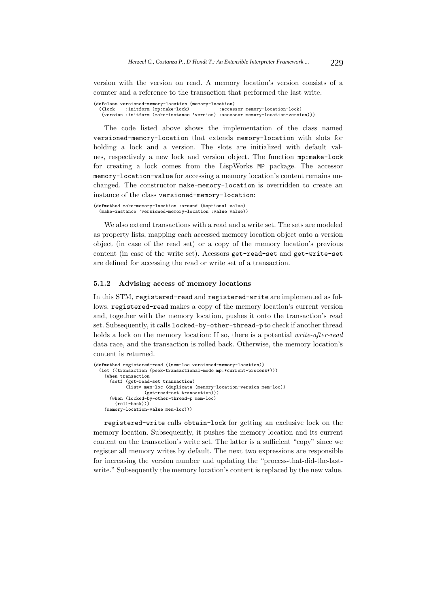version with the version on read. A memory location's version consists of a counter and a reference to the transaction that performed the last write.

(defclass versioned-memory-location (memory-location)<br>((lock :initform (mp:make-lock) :accessor memory-location-lock) ((lock :initform (mp:make-lock) :accessor memory-location-lock) (version :initform (make-instance 'version) :accessor memory-location-version)))

The code listed above shows the implementation of the class named versioned-memory-location that extends memory-location with slots for holding a lock and a version. The slots are initialized with default values, respectively a new lock and version object. The function mp:make-lock for creating a lock comes from the LispWorks MP package. The accessor memory-location-value for accessing a memory location's content remains unchanged. The constructor make-memory-location is overridden to create an instance of the class versioned-memory-location:

```
(defmethod make-memory-location :around (&optional value)
  (make-instance 'versioned-memory-location :value value))
```
We also extend transactions with a read and a write set. The sets are modeled as property lists, mapping each accessed memory location object onto a version object (in case of the read set) or a copy of the memory location's previous content (in case of the write set). Acessors get-read-set and get-write-set are defined for accessing the read or write set of a transaction.

# **5.1.2 Advising access of memory locations**

In this STM, registered-read and registered-write are implemented as follows. registered-read makes a copy of the memory location's current version and, together with the memory location, pushes it onto the transaction's read set. Subsequently, it calls locked-by-other-thread-p to check if another thread holds a lock on the memory location: If so, there is a potential *write-after-read* data race, and the transaction is rolled back. Otherwise, the memory location's content is returned.

```
(defmethod registered-read ((mem-loc versioned-memory-location))
  (let ((transaction (peek-transactional-mode mp:*current-process*)))
    (when transaction
      (setf (get-read-set transaction)
           (list* mem-loc (duplicate (memory-location-version mem-loc))
                   (get-read-set transaction)))
      (when (locked-by-other-thread-p mem-loc)
        (roll-back))(memory-location-value mem-loc)))
```
registered-write calls obtain-lock for getting an exclusive lock on the memory location. Subsequently, it pushes the memory location and its current content on the transaction's write set. The latter is a sufficient "copy" since we register all memory writes by default. The next two expressions are responsible for increasing the version number and updating the "process-that-did-the-lastwrite." Subsequently the memory location's content is replaced by the new value.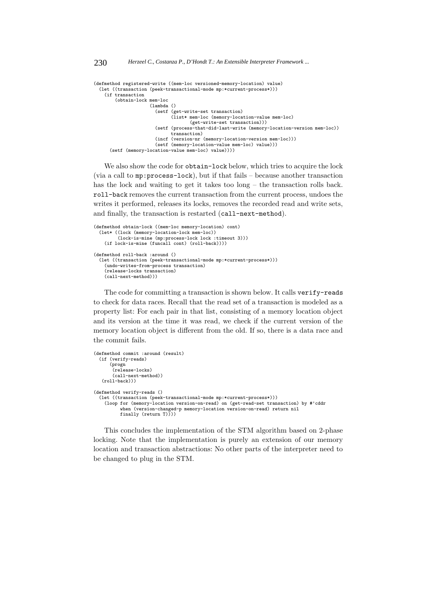```
(defmethod registered-write ((mem-loc versioned-memory-location) value)
  (let ((transaction (peek-transactional-mode mp:*current-process*)))
    (if transaction
        (obtain-lock mem-loc
                     (lambda ()
                       (setf (get-write-set transaction)
                             (list* mem-loc (memory-location-value mem-loc)
                                   (get-write-set transaction)))
                       (setf (process-that-did-last-write (memory-location-version mem-loc))
                             transaction)
                       (incf (version-nr (memory-location-version mem-loc)))
                       (setf (memory-location-value mem-loc) value)))
     (setf (memory-location-value mem-loc) value))))
```
We also show the code for obtain-lock below, which tries to acquire the lock (via a call to mp:process-lock), but if that fails – because another transaction has the lock and waiting to get it takes too long – the transaction rolls back. roll-back removes the current transaction from the current process, undoes the writes it performed, releases its locks, removes the recorded read and write sets, and finally, the transaction is restarted (call-next-method).

```
(defmethod obtain-lock ((mem-loc memory-location) cont)
 (let* ((lock (memory-location-lock mem-loc))
         (lock-is-mine (mp:process-lock lock :timeout 3)))
   (if lock-is-mine (funcall cont) (roll-back))))
(defmethod roll-back :around ()
  (let ((transaction (peek-transactional-mode mp:*current-process*)))
    (undo-writes-from-process transaction)
    (release-locks transaction)
    (call-next-method)))
```
The code for committing a transaction is shown below. It calls verify-reads to check for data races. Recall that the read set of a transaction is modeled as a property list: For each pair in that list, consisting of a memory location object and its version at the time it was read, we check if the current version of the memory location object is different from the old. If so, there is a data race and the commit fails.

```
(defmethod commit :around (result)
 (if (verify-reads)
      (progn
       (release-locks)
       (call-next-method))
   (roll-back))(defmethod verify-reads ()
  (let ((transaction (peek-transactional-mode mp:*current-process*)))
   (loop for (memory-location version-on-read) on (get-read-set transaction) by #'cddr
          when (version-changed-p memory-location version-on-read) return nil
         finally (return T))))
```
This concludes the implementation of the STM algorithm based on 2-phase locking. Note that the implementation is purely an extension of our memory location and transaction abstractions: No other parts of the interpreter need to be changed to plug in the STM.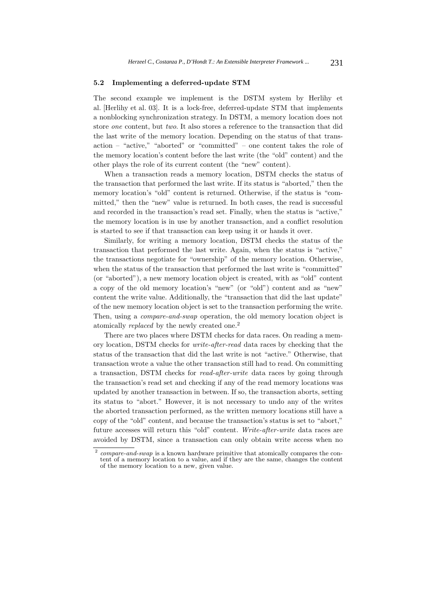#### **5.2 Implementing a deferred-update STM**

The second example we implement is the DSTM system by Herlihy et al. [Herlihy et al. 03]. It is a lock-free, deferred-update STM that implements a nonblocking synchronization strategy. In DSTM, a memory location does not store *one* content, but *two*. It also stores a reference to the transaction that did the last write of the memory location. Depending on the status of that transaction – "active," "aborted" or "committed" – one content takes the role of the memory location's content before the last write (the "old" content) and the other plays the role of its current content (the "new" content).

When a transaction reads a memory location, DSTM checks the status of the transaction that performed the last write. If its status is "aborted," then the memory location's "old" content is returned. Otherwise, if the status is "committed," then the "new" value is returned. In both cases, the read is successful and recorded in the transaction's read set. Finally, when the status is "active," the memory location is in use by another transaction, and a conflict resolution is started to see if that transaction can keep using it or hands it over.

Similarly, for writing a memory location, DSTM checks the status of the transaction that performed the last write. Again, when the status is "active," the transactions negotiate for "ownership" of the memory location. Otherwise, when the status of the transaction that performed the last write is "committed" (or "aborted"), a new memory location object is created, with as "old" content a copy of the old memory location's "new" (or "old") content and as "new" content the write value. Additionally, the "transaction that did the last update" of the new memory location object is set to the transaction performing the write. Then, using a *compare-and-swap* operation, the old memory location object is atomically *replaced* by the newly created one.<sup>2</sup>

There are two places where DSTM checks for data races. On reading a memory location, DSTM checks for *write-after-read* data races by checking that the status of the transaction that did the last write is not "active." Otherwise, that transaction wrote a value the other transaction still had to read. On committing a transaction, DSTM checks for *read-after-write* data races by going through the transaction's read set and checking if any of the read memory locations was updated by another transaction in between. If so, the transaction aborts, setting its status to "abort." However, it is not necessary to undo any of the writes the aborted transaction performed, as the written memory locations still have a copy of the "old" content, and because the transaction's status is set to "abort," future accesses will return this "old" content. *Write-after-write* data races are avoided by DSTM, since a transaction can only obtain write access when no

<sup>2</sup> *compare-and-swap* is a known hardware primitive that atomically compares the content of a memory location to a value, and if they are the same, changes the content of the memory location to a new, given value.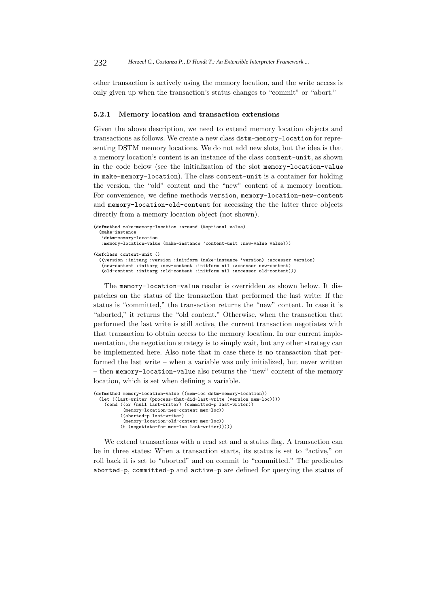other transaction is actively using the memory location, and the write access is only given up when the transaction's status changes to "commit" or "abort."

#### **5.2.1 Memory location and transaction extensions**

Given the above description, we need to extend memory location objects and transactions as follows. We create a new class dstm-memory-location for representing DSTM memory locations. We do not add new slots, but the idea is that a memory location's content is an instance of the class content-unit, as shown in the code below (see the initialization of the slot memory-location-value in make-memory-location). The class content-unit is a container for holding the version, the "old" content and the "new" content of a memory location. For convenience, we define methods version, memory-location-new-content and memory-location-old-content for accessing the the latter three objects directly from a memory location object (not shown).

```
(defmethod make-memory-location :around (&optional value)
 (make-instance
   'dstm-memory-location
   :memory-location-value (make-instance 'content-unit :new-value value)))
(defclass content-unit ()
  ((version :initarg :version :initform (make-instance 'version) :accessor version)
   (new-content :initarg :new-content :initform nil :accessor new-content)
   (old-content :initarg :old-content :initform nil :accessor old-content)))
```
The memory-location-value reader is overridden as shown below. It dispatches on the status of the transaction that performed the last write: If the status is "committed," the transaction returns the "new" content. In case it is "aborted," it returns the "old content." Otherwise, when the transaction that performed the last write is still active, the current transaction negotiates with that transaction to obtain access to the memory location. In our current implementation, the negotiation strategy is to simply wait, but any other strategy can be implemented here. Also note that in case there is no transaction that performed the last write – when a variable was only initialized, but never written – then memory-location-value also returns the "new" content of the memory location, which is set when defining a variable.

```
(defmethod memory-location-value ((mem-loc dstm-memory-location))
  (let ((last-writer (process-that-did-last-write (version mem-loc))))
    (cond ((or (null last-writer) (committed-p last-writer))
           (memory-location-new-content mem-loc))
          ((aborted-p last-writer)
           (memory-location-old-content mem-loc))
          (t (negotiate-for mem-loc last-writer)))))
```
We extend transactions with a read set and a status flag. A transaction can be in three states: When a transaction starts, its status is set to "active," on roll back it is set to "aborted" and on commit to "committed." The predicates aborted-p, committed-p and active-p are defined for querying the status of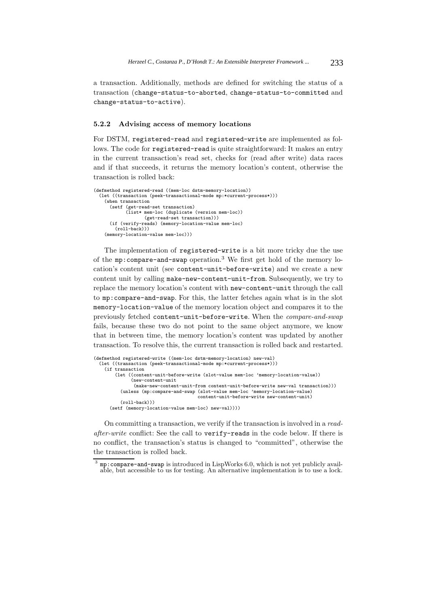a transaction. Additionally, methods are defined for switching the status of a transaction (change-status-to-aborted, change-status-to-committed and change-status-to-active).

### **5.2.2 Advising access of memory locations**

For DSTM, registered-read and registered-write are implemented as follows. The code for registered-read is quite straightforward: It makes an entry in the current transaction's read set, checks for (read after write) data races and if that succeeds, it returns the memory location's content, otherwise the transaction is rolled back:

```
(defmethod registered-read ((mem-loc dstm-memory-location))
  (let ((transaction (peek-transactional-mode mp:*current-process*)))
   (when transaction
     (setf (get-read-set transaction)
            (list* mem-loc (duplicate (version mem-loc))
                  (get-read-set transaction)))
     (if (verify-reads) (memory-location-value mem-loc)
       (roll-back))(memory-location-value mem-loc)))
```
The implementation of registered-write is a bit more tricky due the use of the  $mp:compare$ -and-swap operation.<sup>3</sup> We first get hold of the memory location's content unit (see content-unit-before-write) and we create a new content unit by calling make-new-content-unit-from. Subsequently, we try to replace the memory location's content with new-content-unit through the call to mp:compare-and-swap. For this, the latter fetches again what is in the slot memory-location-value of the memory location object and compares it to the previously fetched content-unit-before-write. When the *compare-and-swap* fails, because these two do not point to the same object anymore, we know that in between time, the memory location's content was updated by another transaction. To resolve this, the current transaction is rolled back and restarted.

```
(defmethod registered-write ((mem-loc dstm-memory-location) new-val)
  (let ((transaction (peek-transactional-mode mp:*current-process*)))
   (if transaction
       (let ((content-unit-before-write (slot-value mem-loc 'memory-location-value))
             (new-content-unit
               (make-new-content-unit-from content-unit-before-write new-val transaction)))
          (unless (mp:compare-and-swap (slot-value mem-loc 'memory-location-value)
                                       content-unit-before-write new-content-unit)
          (roll-back))(setf (memory-location-value mem-loc) new-val))))
```
On committing a transaction, we verify if the transaction is involved in a *readafter-write* conflict: See the call to verify-reads in the code below. If there is no conflict, the transaction's status is changed to "committed", otherwise the the transaction is rolled back.

<sup>3</sup> mp:compare-and-swap is introduced in LispWorks 6.0, which is not yet publicly available, but accessible to us for testing. An alternative implementation is to use a lock.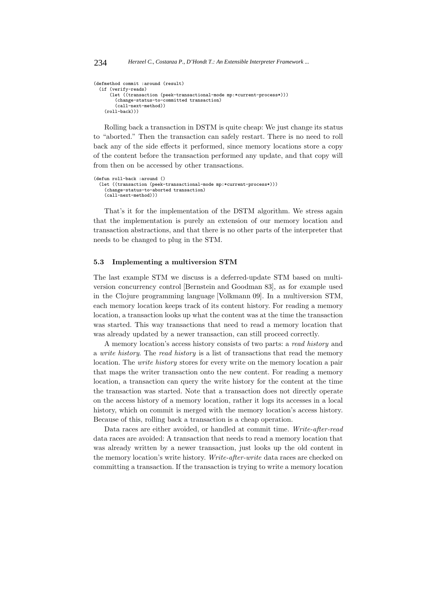```
(defmethod commit :around (result)
  (if (verify-reads)
      (let ((transaction (peek-transactional-mode mp:*current-process*)))
        (change-status-to-committed transaction)
        (call-next-method))
    (roll-back))
```
Rolling back a transaction in DSTM is quite cheap: We just change its status to "aborted." Then the transaction can safely restart. There is no need to roll back any of the side effects it performed, since memory locations store a copy of the content before the transaction performed any update, and that copy will from then on be accessed by other transactions.

```
(defun roll-back :around ()
  (let ((transaction (peek-transactional-mode mp:*current-process*)))
    (change-status-to-aborted transaction)
    (call-next-method)))
```
That's it for the implementation of the DSTM algorithm. We stress again that the implementation is purely an extension of our memory location and transaction abstractions, and that there is no other parts of the interpreter that needs to be changed to plug in the STM.

#### **5.3 Implementing a multiversion STM**

The last example STM we discuss is a deferred-update STM based on multiversion concurrency control [Bernstein and Goodman 83], as for example used in the Clojure programming language [Volkmann 09]. In a multiversion STM, each memory location keeps track of its content history. For reading a memory location, a transaction looks up what the content was at the time the transaction was started. This way transactions that need to read a memory location that was already updated by a newer transaction, can still proceed correctly.

A memory location's access history consists of two parts: a *read history* and a *write history*. The *read history* is a list of transactions that read the memory location. The *write history* stores for every write on the memory location a pair that maps the writer transaction onto the new content. For reading a memory location, a transaction can query the write history for the content at the time the transaction was started. Note that a transaction does not directly operate on the access history of a memory location, rather it logs its accesses in a local history, which on commit is merged with the memory location's access history. Because of this, rolling back a transaction is a cheap operation.

Data races are either avoided, or handled at commit time. *Write-after-read* data races are avoided: A transaction that needs to read a memory location that was already written by a newer transaction, just looks up the old content in the memory location's write history. *Write-after-write* data races are checked on committing a transaction. If the transaction is trying to write a memory location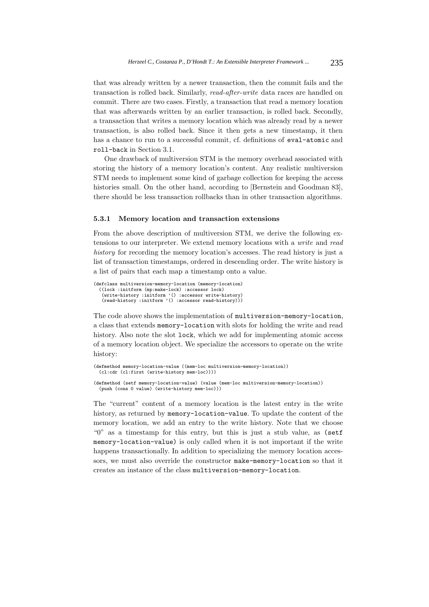that was already written by a newer transaction, then the commit fails and the transaction is rolled back. Similarly, *read-after-write* data races are handled on commit. There are two cases. Firstly, a transaction that read a memory location that was afterwards written by an earlier transaction, is rolled back. Secondly, a transaction that writes a memory location which was already read by a newer transaction, is also rolled back. Since it then gets a new timestamp, it then has a chance to run to a successful commit, cf. definitions of eval-atomic and roll-back in Section 3.1.

One drawback of multiversion STM is the memory overhead associated with storing the history of a memory location's content. Any realistic multiversion STM needs to implement some kind of garbage collection for keeping the access histories small. On the other hand, according to [Bernstein and Goodman 83], there should be less transaction rollbacks than in other transaction algorithms.

#### **5.3.1 Memory location and transaction extensions**

From the above description of multiversion STM, we derive the following extensions to our interpreter. We extend memory locations with a *write* and *read history* for recording the memory location's accesses. The read history is just a list of transaction timestamps, ordered in descending order. The write history is a list of pairs that each map a timestamp onto a value.

```
(defclass multiversion-memory-location (memory-location)
  ((lock :initform (mp:make-lock) :accessor lock)
    (write-history :initform '() :accessor write-history)
(read-history :initform '() :accessor read-history)))
```
(push (cons 0 value) (write-history mem-loc)))

The code above shows the implementation of multiversion-memory-location, a class that extends memory-location with slots for holding the write and read history. Also note the slot lock, which we add for implementing atomic access of a memory location object. We specialize the accessors to operate on the write history:

```
(defmethod memory-location-value ((mem-loc multiversion-memory-location))
  (cl:cdr (cl:first (write-history mem-loc))))
(defmethod (setf memory-location-value) (value (mem-loc multiversion-memory-location))
```
The "current" content of a memory location is the latest entry in the write history, as returned by memory-location-value. To update the content of the memory location, we add an entry to the write history. Note that we choose "0" as a timestamp for this entry, but this is just a stub value, as (setf memory-location-value) is only called when it is not important if the write happens transactionally. In addition to specializing the memory location accessors, we must also override the constructor make-memory-location so that it creates an instance of the class multiversion-memory-location.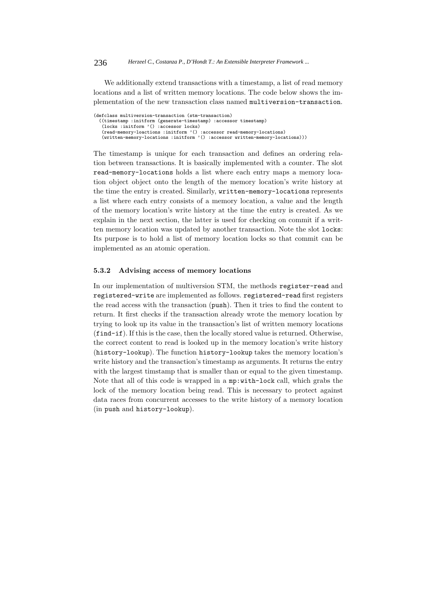We additionally extend transactions with a timestamp, a list of read memory locations and a list of written memory locations. The code below shows the implementation of the new transaction class named multiversion-transaction.

| (defclass multiversion-transaction (stm-transaction)                          |
|-------------------------------------------------------------------------------|
| ((timestamp :initform (generate-timestamp) :accessor timestamp)               |
| $(locks : initform '() : accessor locks)$                                     |
| (read-memory-loactions :initform '() :accessor read-memory-locations)         |
| (written-memory-locations :initform '() :accessor written-memory-locations))) |

The timestamp is unique for each transaction and defines an ordering relation between transactions. It is basically implemented with a counter. The slot read-memory-locations holds a list where each entry maps a memory location object object onto the length of the memory location's write history at the time the entry is created. Similarly, written-memory-locations represents a list where each entry consists of a memory location, a value and the length of the memory location's write history at the time the entry is created. As we explain in the next section, the latter is used for checking on commit if a written memory location was updated by another transaction. Note the slot locks: Its purpose is to hold a list of memory location locks so that commit can be implemented as an atomic operation.

### **5.3.2 Advising access of memory locations**

In our implementation of multiversion STM, the methods register-read and registered-write are implemented as follows. registered-read first registers the read access with the transaction (push). Then it tries to find the content to return. It first checks if the transaction already wrote the memory location by trying to look up its value in the transaction's list of written memory locations (find-if). If this is the case, then the locally stored value is returned. Otherwise, the correct content to read is looked up in the memory location's write history (history-lookup). The function history-lookup takes the memory location's write history and the transaction's timestamp as arguments. It returns the entry with the largest timstamp that is smaller than or equal to the given timestamp. Note that all of this code is wrapped in a mp:with-lock call, which grabs the lock of the memory location being read. This is necessary to protect against data races from concurrent accesses to the write history of a memory location (in push and history-lookup).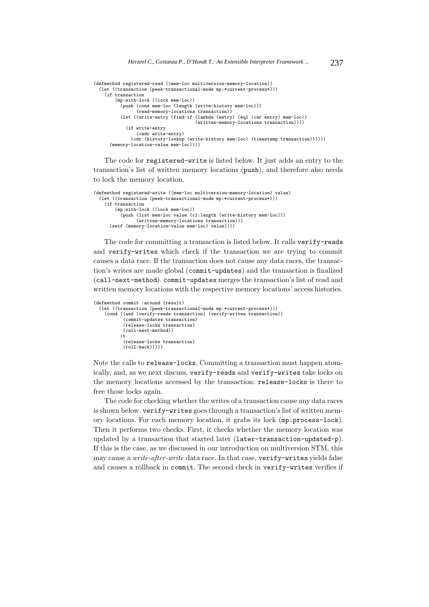```
(defmethod registered-read ((mem-loc multiversion-memory-location))
  (let ((transaction (peek-transactional-mode mp:*current-process*)))
    (if transaction
        (mp:with-lock ((lock mem-loc))
          (push (cons mem-loc (length (write-history mem-loc)))
                (read-memory-locations transaction))
          (let ((write-entry (find-if (lambda (entry) (eql (car entry) mem-loc))
                                      (written-memory-locations transaction))))
            (if write-entry
                (cadr write-entry)
             (cdr (history-lookup (write-history mem-loc) (timestamp transaction))))))
      (memory-location-value mem-loc))))
```
The code for registered-write is listed below. It just adds an entry to the transaction's list of written memory locations (push), and therefore also needs to lock the memory location.

```
(defmethod registered-write ((mem-loc multiversion-memory-location) value)
  (let ((transaction (peek-transactional-mode mp:*current-process*)))
    (if transaction
        (mp:with-lock ((lock mem-loc))
          (push (list mem-loc value (cl:length (write-history mem-loc)))
                (written-memory-locations transaction)))
     (setf (memory-location-value mem-loc) value))))
```
The code for committing a transaction is listed below. It calls verify-reads and verify-writes which check if the transaction we are trying to commit causes a data race. If the transaction does not cause any data races, the transaction's writes are made global (commit-updates) and the transaction is finalized (call-next-method). commit-updates merges the transaction's list of read and written memory locations with the respective memory locations' access histories.

```
(defmethod commit :around (result)
  (let ((transaction (peek-transactional-mode mp:*current-process*)))
   (cond ((and (verify-reads transaction) (verify-writes transaction))
           (commit-updates transaction)
           (release-locks transaction)
           (call-next-method))
          (t
           (release-locks transaction)
           (roll-back)))))
```
Note the calls to release-locks. Committing a transaction must happen atomically, and, as we next discuss, verify-reads and verify-writes take locks on the memory locations accessed by the transaction: release-locks is there to free those locks again.

The code for checking whether the writes of a transaction cause any data races is shown below. verify-writes goes through a transaction's list of written memory locations. For each memory location, it grabs its lock (mp:process-lock). Then it performs two checks. First, it checks whether the memory location was updated by a transaction that started later (later-transaction-updated-p). If this is the case, as we discussed in our introduction on multiversion STM, this may cause a *write-after-write* data race. In that case, verify-writes yields false and causes a rollback in commit. The second check in verify-writes verifies if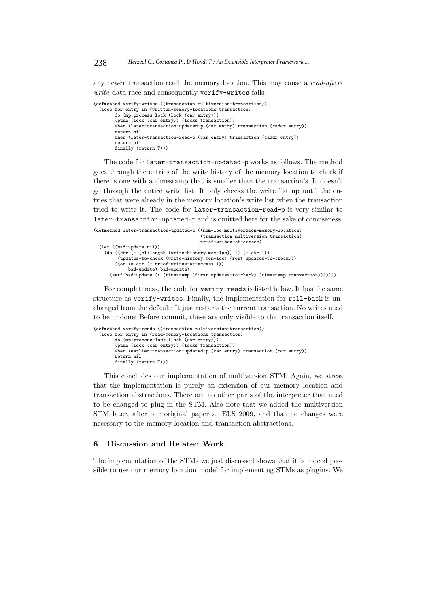any newer transaction read the memory location. This may cause a *read-afterwrite* data race and consequently verify-writes fails.

```
(defmethod verify-writes ((transaction multiversion-transaction))
  (loop for entry in (written-memory-locations transaction)
        do (mp:process-lock (lock (car entry)))
        (push (lock (car entry)) (locks transaction))
        when (later-transaction-updated-p (car entry) transaction (caddr entry))
        return nil<br>when (later
                     transaction-read-p (car entry) transaction (caddr entry))
        return nil
finally (return T)))
```
The code for later-transaction-updated-p works as follows. The method goes through the entries of the write history of the memory location to check if there is one with a timestamp that is smaller than the transaction's. It doesn't go through the entire write list. It only checks the write list up until the entries that were already in the memory location's write list when the transaction tried to write it. The code for later-transaction-read-p is very similar to later-transaction-updated-p and is omitted here for the sake of conciseness.

```
(defmethod later-transaction-updated-p ((mem-loc multiversion-memory-location)
                                        (transaction multiversion-transaction)
                                        nr-of-writes-at-access)
 (let ((bad-update nil))
    (do ((ctr (- (cl:length (write-history mem-loc)) 1) (- ctr 1))
         (updates-to-check (write-history mem-loc) (rest updates-to-check)))
        ((or (= ctr (- nr-of-writes-at-access 1))
            bad-update) bad-update)
      (setf bad-update (< (timestamp (first updates-to-check) (timestamp transaction)))))))
```
For completeness, the code for verify-reads is listed below. It has the same structure as verify-writes. Finally, the implementation for roll-back is unchanged from the default: It just restarts the current transaction. No writes need to be undone: Before commit, these are only visible to the transaction itself.

```
(defmethod verify-reads ((transaction multiversion-transaction))
  (loop for entry in (read-memory-locations transaction)
        do (mp:process-lock (lock (car entry)))
        (push (lock (car entry)) (locks transaction))
        when (earlier-transaction-updated-p (car entry) transaction (cdr entry))
       return nil
        finally (return T)))
```
This concludes our implementation of multiversion STM. Again, we stress that the implementation is purely an extension of our memory location and transaction abstractions. There are no other parts of the interpreter that need to be changed to plug in the STM. Also note that we added the multiversion STM later, after our original paper at ELS 2009, and that no changes were necessary to the memory location and transaction abstractions.

# **6 Discussion and Related Work**

The implementation of the STMs we just discussed shows that it is indeed possible to use our memory location model for implementing STMs as plugins. We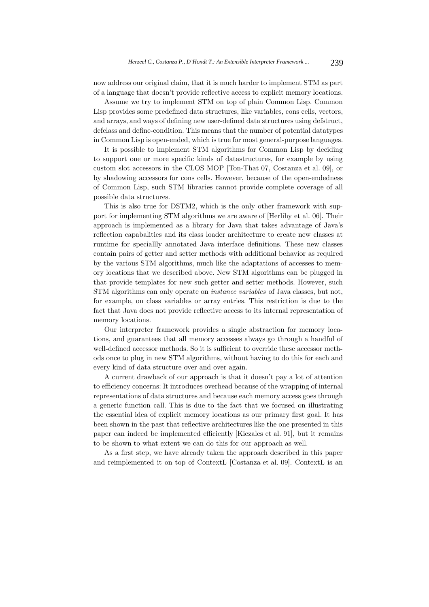now address our original claim, that it is much harder to implement STM as part of a language that doesn't provide reflective access to explicit memory locations.

Assume we try to implement STM on top of plain Common Lisp. Common Lisp provides some predefined data structures, like variables, cons cells, vectors, and arrays, and ways of defining new user-defined data structures using defstruct, defclass and define-condition. This means that the number of potential datatypes in Common Lisp is open-ended, which is true for most general-purpose languages.

It is possible to implement STM algorithms for Common Lisp by deciding to support one or more specific kinds of datastructures, for example by using custom slot accessors in the CLOS MOP [Ton-That 07, Costanza et al. 09], or by shadowing accessors for cons cells. However, because of the open-endedness of Common Lisp, such STM libraries cannot provide complete coverage of all possible data structures.

This is also true for DSTM2, which is the only other framework with support for implementing STM algorithms we are aware of [Herlihy et al. 06]. Their approach is implemented as a library for Java that takes advantage of Java's reflection capabalities and its class loader architecture to create new classes at runtime for speciallly annotated Java interface definitions. These new classes contain pairs of getter and setter methods with additional behavior as required by the various STM algorithms, much like the adaptations of accesses to memory locations that we described above. New STM algorithms can be plugged in that provide templates for new such getter and setter methods. However, such STM algorithms can only operate on *instance variables* of Java classes, but not, for example, on class variables or array entries. This restriction is due to the fact that Java does not provide reflective access to its internal representation of memory locations.

Our interpreter framework provides a single abstraction for memory locations, and guarantees that all memory accesses always go through a handful of well-defined accessor methods. So it is sufficient to override these accessor methods once to plug in new STM algorithms, without having to do this for each and every kind of data structure over and over again.

A current drawback of our approach is that it doesn't pay a lot of attention to efficiency concerns: It introduces overhead because of the wrapping of internal representations of data structures and because each memory access goes through a generic function call. This is due to the fact that we focused on illustrating the essential idea of explicit memory locations as our primary first goal. It has been shown in the past that reflective architectures like the one presented in this paper can indeed be implemented efficiently [Kiczales et al. 91], but it remains to be shown to what extent we can do this for our approach as well.

As a first step, we have already taken the approach described in this paper and reimplemented it on top of ContextL [Costanza et al. 09]. ContextL is an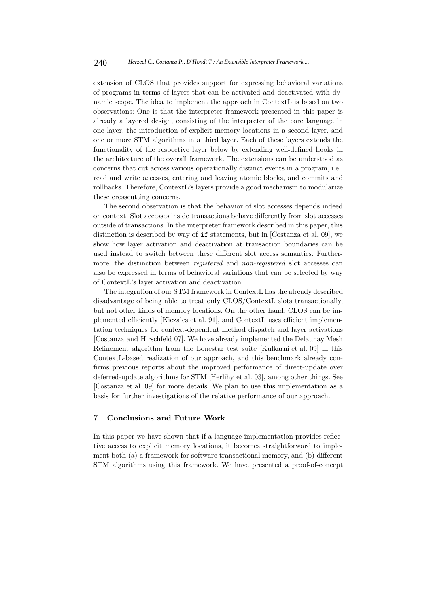extension of CLOS that provides support for expressing behavioral variations of programs in terms of layers that can be activated and deactivated with dynamic scope. The idea to implement the approach in ContextL is based on two observations: One is that the interpreter framework presented in this paper is already a layered design, consisting of the interpreter of the core language in one layer, the introduction of explicit memory locations in a second layer, and one or more STM algorithms in a third layer. Each of these layers extends the functionality of the respective layer below by extending well-defined hooks in the architecture of the overall framework. The extensions can be understood as concerns that cut across various operationally distinct events in a program, i.e., read and write accesses, entering and leaving atomic blocks, and commits and rollbacks. Therefore, ContextL's layers provide a good mechanism to modularize these crosscutting concerns.

The second observation is that the behavior of slot accesses depends indeed on context: Slot accesses inside transactions behave differently from slot accesses outside of transactions. In the interpreter framework described in this paper, this distinction is described by way of if statements, but in [Costanza et al. 09], we show how layer activation and deactivation at transaction boundaries can be used instead to switch between these different slot access semantics. Furthermore, the distinction between *registered* and *non-registered* slot accesses can also be expressed in terms of behavioral variations that can be selected by way of ContextL's layer activation and deactivation.

The integration of our STM framework in ContextL has the already described disadvantage of being able to treat only CLOS/ContextL slots transactionally, but not other kinds of memory locations. On the other hand, CLOS can be implemented efficiently [Kiczales et al. 91], and ContextL uses efficient implementation techniques for context-dependent method dispatch and layer activations [Costanza and Hirschfeld 07]. We have already implemented the Delaunay Mesh Refinement algorithm from the Lonestar test suite [Kulkarni et al. 09] in this ContextL-based realization of our approach, and this benchmark already confirms previous reports about the improved performance of direct-update over deferred-update algorithms for STM [Herlihy et al. 03], among other things. See [Costanza et al. 09] for more details. We plan to use this implementation as a basis for further investigations of the relative performance of our approach.

# **7 Conclusions and Future Work**

In this paper we have shown that if a language implementation provides reflective access to explicit memory locations, it becomes straightforward to implement both (a) a framework for software transactional memory, and (b) different STM algorithms using this framework. We have presented a proof-of-concept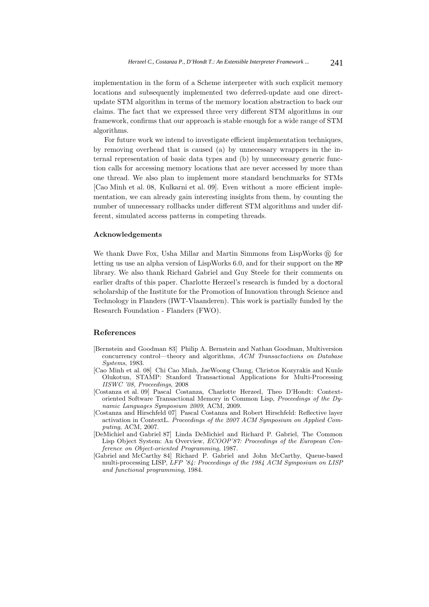implementation in the form of a Scheme interpreter with such explicit memory locations and subsequently implemented two deferred-update and one directupdate STM algorithm in terms of the memory location abstraction to back our claims. The fact that we expressed three very different STM algorithms in our framework, confirms that our approach is stable enough for a wide range of STM algorithms.

For future work we intend to investigate efficient implementation techniques, by removing overhead that is caused (a) by unnecessary wrappers in the internal representation of basic data types and (b) by unnecessary generic function calls for accessing memory locations that are never accessed by more than one thread. We also plan to implement more standard benchmarks for STMs [Cao Minh et al. 08, Kulkarni et al. 09]. Even without a more efficient implementation, we can already gain interesting insights from them, by counting the number of unnecessary rollbacks under different STM algorithms and under different, simulated access patterns in competing threads.

#### **Acknowledgements**

We thank Dave Fox, Usha Millar and Martin Simmons from LispWorks ® for letting us use an alpha version of LispWorks 6.0, and for their support on the MP library. We also thank Richard Gabriel and Guy Steele for their comments on earlier drafts of this paper. Charlotte Herzeel's research is funded by a doctoral scholarship of the Institute for the Promotion of Innovation through Science and Technology in Flanders (IWT-Vlaanderen). This work is partially funded by the Research Foundation - Flanders (FWO).

# **References**

- [Bernstein and Goodman 83] Philip A. Bernstein and Nathan Goodman, Multiversion concurrency control—theory and algorithms, *ACM Transactactions on Database Systems*, 1983.
- [Cao Minh et al. 08] Chi Cao Minh, JaeWoong Chung, Christos Kozyrakis and Kunle Olukotun, STAMP: Stanford Transactional Applications for Multi-Processing *IISWC '08, Proceedings*, 2008
- [Costanza et al. 09] Pascal Costanza, Charlotte Herzeel, Theo D'Hondt: Contextoriented Software Transactional Memory in Common Lisp, *Proceedings of the Dynamic Languages Symposium 2009*, ACM, 2009.
- [Costanza and Hirschfeld 07] Pascal Costanza and Robert Hirschfeld: Reflective layer activation in ContextL. *Proceedings of the 2007 ACM Symposium on Applied Computing*, ACM, 2007.
- [DeMichiel and Gabriel 87] Linda DeMichiel and Richard P. Gabriel, The Common Lisp Object System: An Overview, *ECOOP'87: Proceedings of the European Conference on Object-oriented Programming*, 1987.
- [Gabriel and McCarthy 84] Richard P. Gabriel and John McCarthy, Queue-based multi-processing LISP, *LFP '84: Proceedings of the 1984 ACM Symposium on LISP and functional programming*, 1984.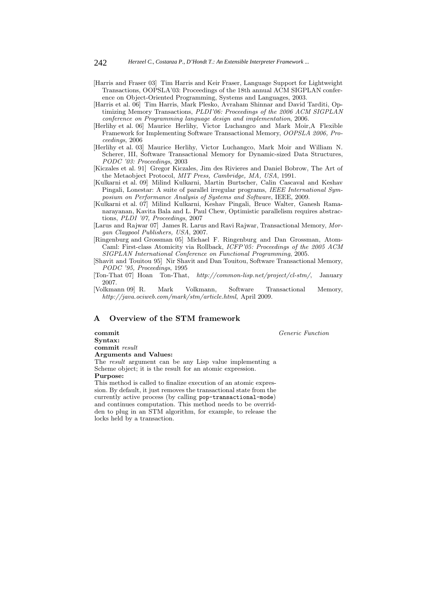- [Harris and Fraser 03] Tim Harris and Keir Fraser, Language Support for Lightweight Transactions, OOPSLA'03: Proceedings of the 18th annual ACM SIGPLAN conference on Object-Oriented Programming, Systems and Languages, 2003.
- [Harris et al. 06] Tim Harris, Mark Plesko, Avraham Shinnar and David Tarditi, Optimizing Memory Transactions, *PLDI'06: Proceedings of the 2006 ACM SIGPLAN conference on Programming language design and implementation*, 2006.
- [Herlihy et al. 06] Maurice Herlihy, Victor Luchangco and Mark Moir,A Flexible Framework for Implementing Software Transactional Memory, *OOPSLA 2006, Proceedings*, 2006
- [Herlihy et al. 03] Maurice Herlihy, Victor Luchangco, Mark Moir and William N. Scherer, III, Software Transactional Memory for Dynamic-sized Data Structures, *PODC '03: Proceedings*, 2003
- [Kiczales et al. 91] Gregor Kiczales, Jim des Rivieres and Daniel Bobrow, The Art of the Metaobject Protocol, *MIT Press, Cambridge, MA, USA*, 1991.
- [Kulkarni et al. 09] Milind Kulkarni, Martin Burtscher, Calin Cascaval and Keshav Pingali, Lonestar: A suite of parallel irregular programs, *IEEE International Symposium on Performance Analysis of Systems and Software*, IEEE, 2009.
- [Kulkarni et al. 07] Milind Kulkarni, Keshav Pingali, Bruce Walter, Ganesh Ramanarayanan, Kavita Bala and L. Paul Chew, Optimistic parallelism requires abstractions, *PLDI '07, Proceedings*, 2007
- [Larus and Rajwar 07] James R. Larus and Ravi Rajwar, Transactional Memory, *Morgan Claypool Publishers, USA*, 2007.
- [Ringenburg and Grossman 05] Michael F. Ringenburg and Dan Grossman, Atom-Caml: First-class Atomicity via Rollback, *ICFP'05: Proceedings of the 2005 ACM SIGPLAN International Conference on Functional Programming*, 2005.
- [Shavit and Touitou 95] Nir Shavit and Dan Touitou, Software Transactional Memory, *PODC '95, Proceedings*, 1995
- [Ton-That 07] Hoan Ton-That, *http://common-lisp.net/project/cl-stm/*, January 2007.
- [Volkmann 09] R. Mark Volkmann, Software Transactional Memory, *http://java.ociweb.com/mark/stm/article.html*, April 2009.

# **A Overview of the STM framework**

**commit** *Generic Function* **Syntax: commit** *result* **Arguments and Values:**

The *result* argument can be any Lisp value implementing a Scheme object; it is the result for an atomic expression.

# **Purpose:**

This method is called to finalize execution of an atomic expression. By default, it just removes the transactional state from the currently active process (by calling pop-transactional-mode) and continues computation. This method needs to be overridden to plug in an STM algorithm, for example, to release the locks held by a transaction.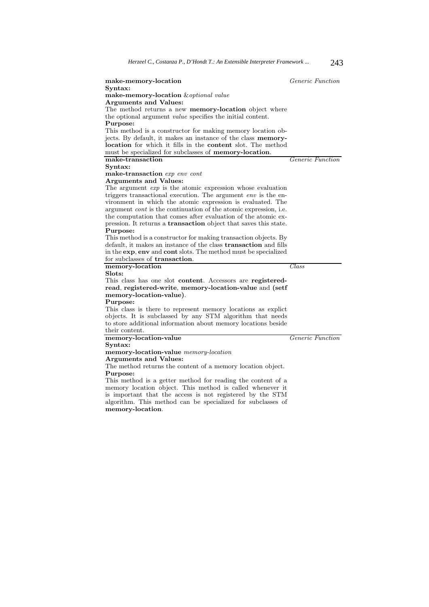| make-memory-location                                                    | <i>Generic Function</i> |
|-------------------------------------------------------------------------|-------------------------|
| Syntax:                                                                 |                         |
| make-memory-location & optional value                                   |                         |
| <b>Arguments and Values:</b>                                            |                         |
| The method returns a new <b>memory-location</b> object where            |                         |
| the optional argument <i>value</i> specifies the initial content.       |                         |
| Purpose:                                                                |                         |
| This method is a constructor for making memory location ob-             |                         |
| jects. By default, it makes an instance of the class <b>memory-</b>     |                         |
| location for which it fills in the content slot. The method             |                         |
| must be specialized for subclasses of memory-location.                  | <i>Generic Function</i> |
| make-transaction                                                        |                         |
| Syntax:                                                                 |                         |
| make-transaction exp env cont<br><b>Arguments and Values:</b>           |                         |
| The argument $exp$ is the atomic expression whose evaluation            |                         |
| triggers transactional execution. The argument env is the en-           |                         |
| vironment in which the atomic expression is evaluated. The              |                         |
| argument <i>cont</i> is the continuation of the atomic expression, i.e. |                         |
| the computation that comes after evaluation of the atomic ex-           |                         |
| pression. It returns a <b>transaction</b> object that saves this state. |                         |
| Purpose:                                                                |                         |
| This method is a constructor for making transaction objects. By         |                         |
| default, it makes an instance of the class transaction and fills        |                         |
| in the exp, env and cont slots. The method must be specialized          |                         |
| for subclasses of transaction.                                          |                         |
| memory-location                                                         | $\mathit{Class}$        |
| Slots:                                                                  |                         |
| This class has one slot content. Accessors are registered-              |                         |
| read, registered-write, memory-location-value and (setf                 |                         |
| memory-location-value).                                                 |                         |
| Purpose:                                                                |                         |
| This class is there to represent memory locations as explict            |                         |
| objects. It is subclassed by any STM algorithm that needs               |                         |
| to store additional information about memory locations beside           |                         |
| their content.<br>memory-location-value                                 | <i>Generic Function</i> |
| Syntax:                                                                 |                         |
| memory-location-value memory-location                                   |                         |
| <b>Arguments and Values:</b>                                            |                         |
| The method returns the content of a memory location object.             |                         |
| Purpose:                                                                |                         |
| This method is a getter method for reading the content of a             |                         |
| memory location object. This method is called whenever it               |                         |
| is important that the access is not registered by the STM               |                         |
|                                                                         |                         |

algorithm. This method can be specialized for subclasses of **memory-location**.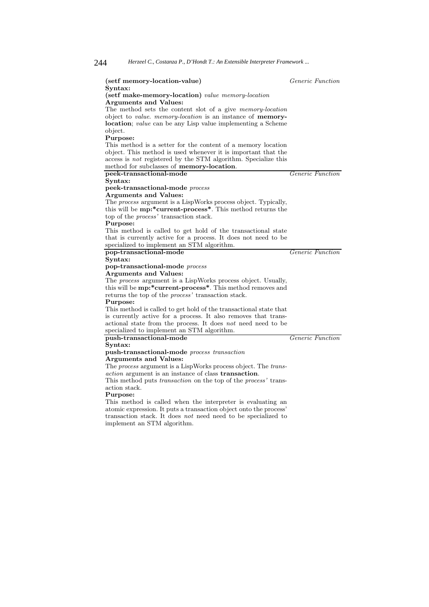| (setf memory-location-value)                                                                                                       | <i>Generic Function</i> |
|------------------------------------------------------------------------------------------------------------------------------------|-------------------------|
| $S yntax:$                                                                                                                         |                         |
| (setf make-memory-location) value memory-location                                                                                  |                         |
| Arguments and Values:                                                                                                              |                         |
| The method sets the content slot of a give <i>memory-location</i>                                                                  |                         |
| object to <i>value. memory-location</i> is an instance of <b>memory-</b>                                                           |                         |
| location; <i>value</i> can be any Lisp value implementing a Scheme                                                                 |                         |
| object.                                                                                                                            |                         |
| Purpose:                                                                                                                           |                         |
| This method is a setter for the content of a memory location                                                                       |                         |
| object. This method is used whenever it is important that the                                                                      |                         |
| access is <i>not</i> registered by the STM algorithm. Specialize this                                                              |                         |
| method for subclasses of memory-location.                                                                                          |                         |
| peek-transactional-mode                                                                                                            | <i>Generic Function</i> |
| Syntax:                                                                                                                            |                         |
| peek-transactional-mode process                                                                                                    |                         |
| <b>Arguments and Values:</b>                                                                                                       |                         |
| The <i>process</i> argument is a LispWorks process object. Typically,                                                              |                         |
| this will be mp:*current-process*. This method returns the                                                                         |                         |
| top of the <i>process'</i> transaction stack.                                                                                      |                         |
| Purpose:                                                                                                                           |                         |
| This method is called to get hold of the transactional state                                                                       |                         |
| that is currently active for a process. It does not need to be                                                                     |                         |
| specialized to implement an STM algorithm.                                                                                         |                         |
| pop-transactional-mode                                                                                                             | <i>Generic Function</i> |
|                                                                                                                                    |                         |
| Syntax:                                                                                                                            |                         |
| pop-transactional-mode process                                                                                                     |                         |
| <b>Arguments and Values:</b>                                                                                                       |                         |
| The process argument is a LispWorks process object. Usually,                                                                       |                         |
| this will be mp:*current-process*. This method removes and                                                                         |                         |
| returns the top of the <i>process'</i> transaction stack.                                                                          |                         |
| Purpose:                                                                                                                           |                         |
| This method is called to get hold of the transactional state that                                                                  |                         |
| is currently active for a process. It also removes that trans-                                                                     |                         |
| actional state from the process. It does not need need to be                                                                       |                         |
| specialized to implement an STM algorithm.                                                                                         |                         |
| push-transactional-mode                                                                                                            | <i>Generic Function</i> |
| Syntax:                                                                                                                            |                         |
| push-transactional-mode process transaction                                                                                        |                         |
| <b>Arguments and Values:</b>                                                                                                       |                         |
| The <i>process</i> argument is a LispWorks process object. The <i>trans</i> -                                                      |                         |
| <i>action</i> argument is an instance of class <b>transaction</b> .                                                                |                         |
| This method puts <i>transaction</i> on the top of the <i>process</i> ' trans-                                                      |                         |
| action stack.                                                                                                                      |                         |
| Purpose:                                                                                                                           |                         |
| This method is called when the interpreter is evaluating an                                                                        |                         |
| atomic expression. It puts a transaction object onto the process'<br>transaction stack. It does not need need to be specialized to |                         |

implement an STM algorithm.